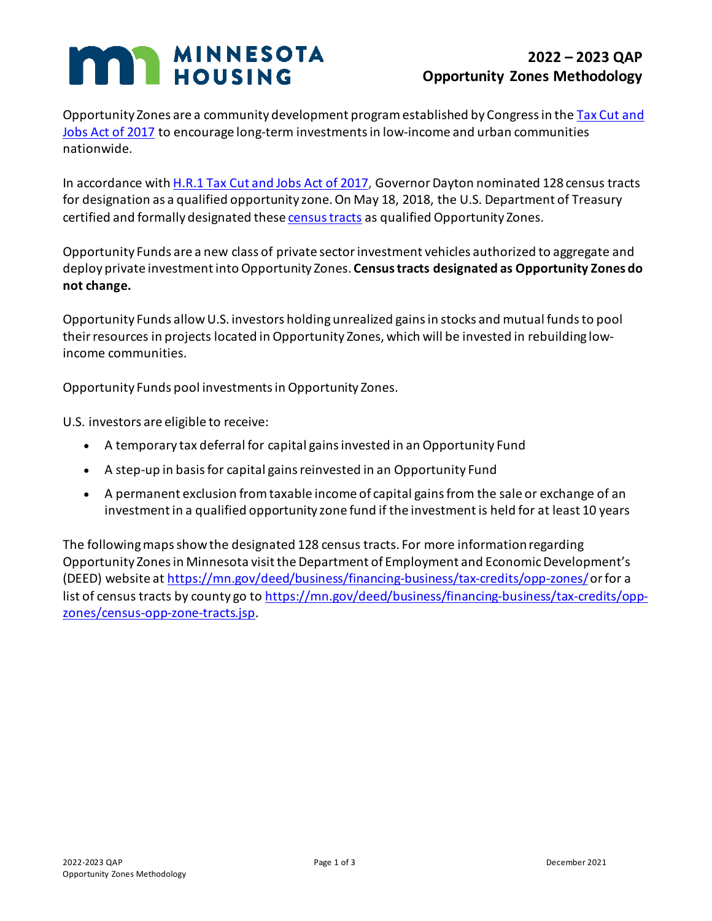## **MAN MINNESOTA**

## **2022 – 2023 QAP Opportunity Zones Methodology**

Opportunity Zones are a community development program established by Congress in the Tax Cut and [Jobs Act of 2017](https://www.congress.gov/bill/115th-congress/house-bill/1/text) to encourage long-term investments in low-income and urban communities nationwide.

In accordance with [H.R.1 Tax Cut and Jobs Act of 2017,](https://www.congress.gov/bill/115th-congress/house-bill/1/text) Governor Dayton nominated 128 census tracts for designation as a qualified opportunity zone. On May 18, 2018, the U.S. Department of Treasury certified and formally designated thes[e census tracts](https://mn.gov/deed/business/financing-business/tax-credits/opp-zones/census-opp-zone-tracts.jsp) as qualified Opportunity Zones.

Opportunity Funds are a new class of private sector investment vehicles authorized to aggregate and deploy private investment into Opportunity Zones. **Census tracts designated as Opportunity Zones do not change.**

Opportunity Funds allow U.S. investors holding unrealized gains in stocks and mutual funds to pool their resources in projects located in Opportunity Zones, which will be invested in rebuilding lowincome communities.

Opportunity Funds pool investments in Opportunity Zones.

U.S. investors are eligible to receive:

- A temporary tax deferral for capital gains invested in an Opportunity Fund
- A step-up in basis for capital gains reinvested in an Opportunity Fund
- A permanent exclusion from taxable income of capital gains from the sale or exchange of an investment in a qualified opportunity zone fund if the investment is held for at least 10 years

The following maps show the designated 128 census tracts. For more information regarding Opportunity Zones in Minnesota visit the Department of Employment and Economic Development's (DEED) website at<https://mn.gov/deed/business/financing-business/tax-credits/opp-zones/>or for a list of census tracts by county go to [https://mn.gov/deed/business/financing-business/tax-credits/opp](https://mn.gov/deed/business/financing-business/tax-credits/opp-zones/census-opp-zone-tracts.jsp)[zones/census-opp-zone-tracts.jsp.](https://mn.gov/deed/business/financing-business/tax-credits/opp-zones/census-opp-zone-tracts.jsp)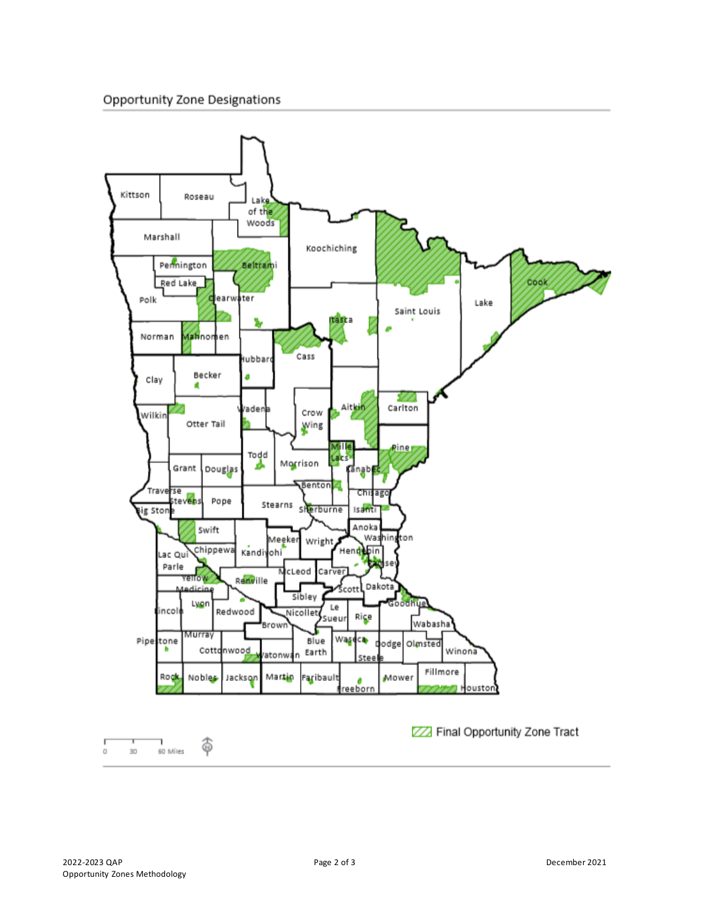